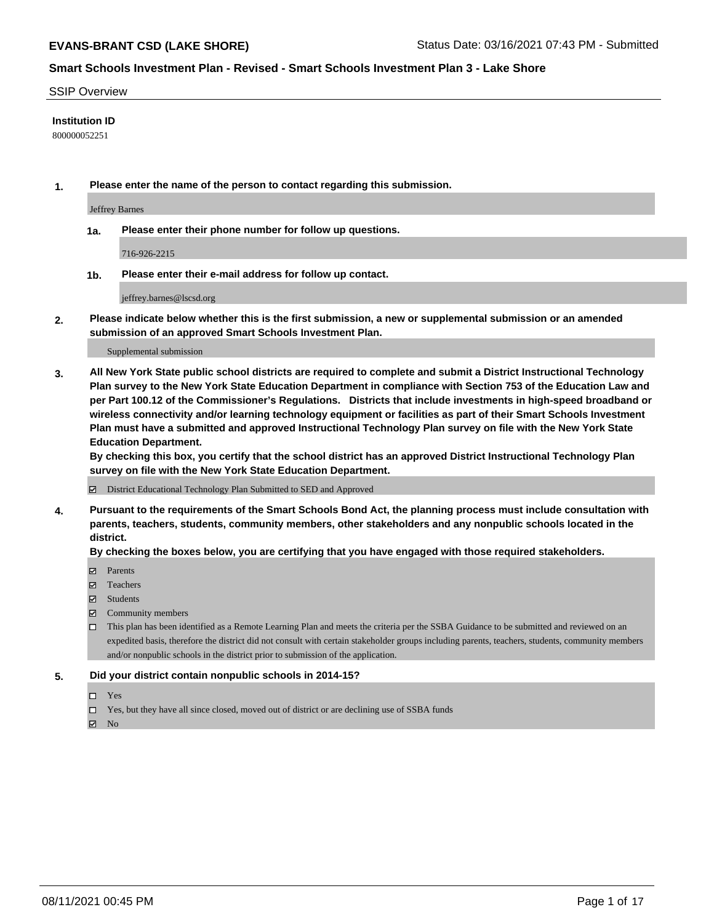#### SSIP Overview

### **Institution ID**

800000052251

**1. Please enter the name of the person to contact regarding this submission.**

Jeffrey Barnes

**1a. Please enter their phone number for follow up questions.**

716-926-2215

**1b. Please enter their e-mail address for follow up contact.**

jeffrey.barnes@lscsd.org

**2. Please indicate below whether this is the first submission, a new or supplemental submission or an amended submission of an approved Smart Schools Investment Plan.**

#### Supplemental submission

**3. All New York State public school districts are required to complete and submit a District Instructional Technology Plan survey to the New York State Education Department in compliance with Section 753 of the Education Law and per Part 100.12 of the Commissioner's Regulations. Districts that include investments in high-speed broadband or wireless connectivity and/or learning technology equipment or facilities as part of their Smart Schools Investment Plan must have a submitted and approved Instructional Technology Plan survey on file with the New York State Education Department.** 

**By checking this box, you certify that the school district has an approved District Instructional Technology Plan survey on file with the New York State Education Department.**

District Educational Technology Plan Submitted to SED and Approved

**4. Pursuant to the requirements of the Smart Schools Bond Act, the planning process must include consultation with parents, teachers, students, community members, other stakeholders and any nonpublic schools located in the district.** 

### **By checking the boxes below, you are certifying that you have engaged with those required stakeholders.**

- **Parents**
- Teachers
- Students
- $\boxtimes$  Community members
- This plan has been identified as a Remote Learning Plan and meets the criteria per the SSBA Guidance to be submitted and reviewed on an expedited basis, therefore the district did not consult with certain stakeholder groups including parents, teachers, students, community members and/or nonpublic schools in the district prior to submission of the application.
- **5. Did your district contain nonpublic schools in 2014-15?**
	- □ Yes
	- □ Yes, but they have all since closed, moved out of district or are declining use of SSBA funds

 $M$  No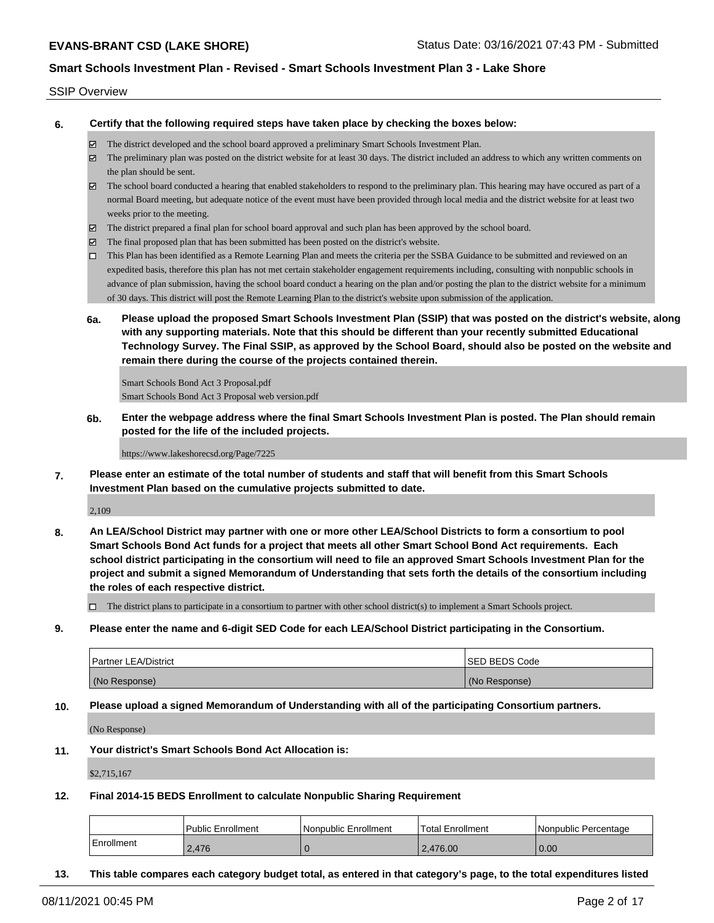#### SSIP Overview

**6. Certify that the following required steps have taken place by checking the boxes below:**

- The district developed and the school board approved a preliminary Smart Schools Investment Plan.
- The preliminary plan was posted on the district website for at least 30 days. The district included an address to which any written comments on the plan should be sent.
- The school board conducted a hearing that enabled stakeholders to respond to the preliminary plan. This hearing may have occured as part of a normal Board meeting, but adequate notice of the event must have been provided through local media and the district website for at least two weeks prior to the meeting.
- The district prepared a final plan for school board approval and such plan has been approved by the school board.
- $\boxtimes$  The final proposed plan that has been submitted has been posted on the district's website.
- This Plan has been identified as a Remote Learning Plan and meets the criteria per the SSBA Guidance to be submitted and reviewed on an expedited basis, therefore this plan has not met certain stakeholder engagement requirements including, consulting with nonpublic schools in advance of plan submission, having the school board conduct a hearing on the plan and/or posting the plan to the district website for a minimum of 30 days. This district will post the Remote Learning Plan to the district's website upon submission of the application.
- **6a. Please upload the proposed Smart Schools Investment Plan (SSIP) that was posted on the district's website, along with any supporting materials. Note that this should be different than your recently submitted Educational Technology Survey. The Final SSIP, as approved by the School Board, should also be posted on the website and remain there during the course of the projects contained therein.**

Smart Schools Bond Act 3 Proposal.pdf Smart Schools Bond Act 3 Proposal web version.pdf

**6b. Enter the webpage address where the final Smart Schools Investment Plan is posted. The Plan should remain posted for the life of the included projects.**

https://www.lakeshorecsd.org/Page/7225

**7. Please enter an estimate of the total number of students and staff that will benefit from this Smart Schools Investment Plan based on the cumulative projects submitted to date.**

2,109

**8. An LEA/School District may partner with one or more other LEA/School Districts to form a consortium to pool Smart Schools Bond Act funds for a project that meets all other Smart School Bond Act requirements. Each school district participating in the consortium will need to file an approved Smart Schools Investment Plan for the project and submit a signed Memorandum of Understanding that sets forth the details of the consortium including the roles of each respective district.**

 $\Box$  The district plans to participate in a consortium to partner with other school district(s) to implement a Smart Schools project.

**9. Please enter the name and 6-digit SED Code for each LEA/School District participating in the Consortium.**

| <b>Partner LEA/District</b> | <b>ISED BEDS Code</b> |
|-----------------------------|-----------------------|
| (No Response)               | (No Response)         |

**10. Please upload a signed Memorandum of Understanding with all of the participating Consortium partners.**

(No Response)

**11. Your district's Smart Schools Bond Act Allocation is:**

\$2,715,167

**12. Final 2014-15 BEDS Enrollment to calculate Nonpublic Sharing Requirement**

|            | <b>Public Enrollment</b> | Nonpublic Enrollment | Total Enrollment | Nonpublic Percentage |
|------------|--------------------------|----------------------|------------------|----------------------|
| Enrollment | 2.476                    |                      | 2.476.00         | 0.00                 |

**13. This table compares each category budget total, as entered in that category's page, to the total expenditures listed**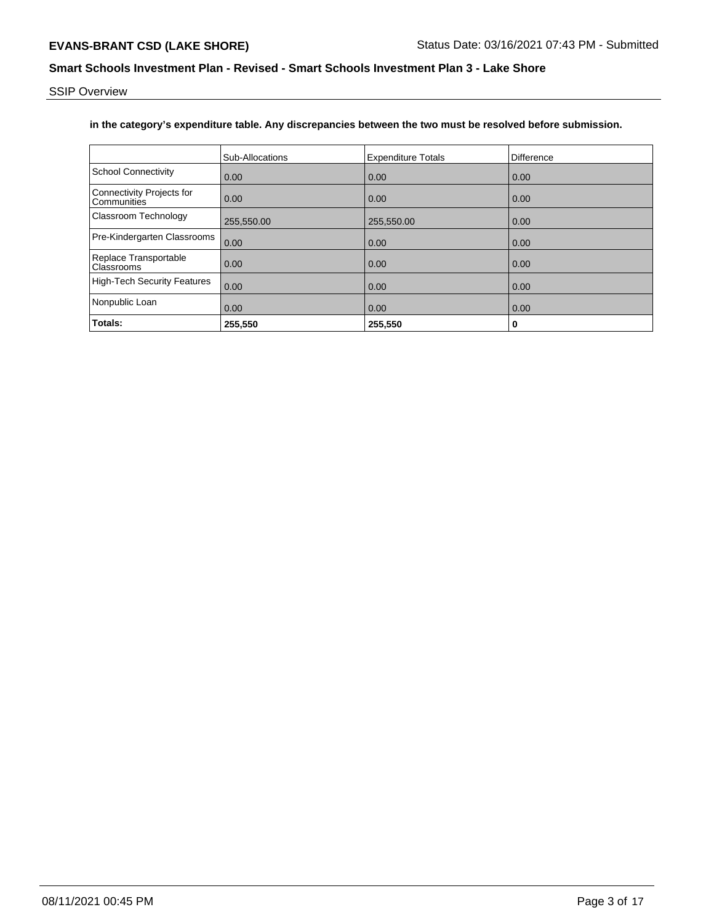SSIP Overview

# **in the category's expenditure table. Any discrepancies between the two must be resolved before submission.**

|                                          | <b>Sub-Allocations</b> | <b>Expenditure Totals</b> | Difference |
|------------------------------------------|------------------------|---------------------------|------------|
| <b>School Connectivity</b>               | 0.00                   | 0.00                      | 0.00       |
| Connectivity Projects for<br>Communities | 0.00                   | 0.00                      | 0.00       |
| Classroom Technology                     | 255,550.00             | 255,550.00                | 0.00       |
| Pre-Kindergarten Classrooms              | 0.00                   | 0.00                      | 0.00       |
| Replace Transportable<br>Classrooms      | 0.00                   | 0.00                      | 0.00       |
| <b>High-Tech Security Features</b>       | 0.00                   | 0.00                      | 0.00       |
| Nonpublic Loan                           | 0.00                   | 0.00                      | 0.00       |
| Totals:                                  | 255,550                | 255,550                   | 0          |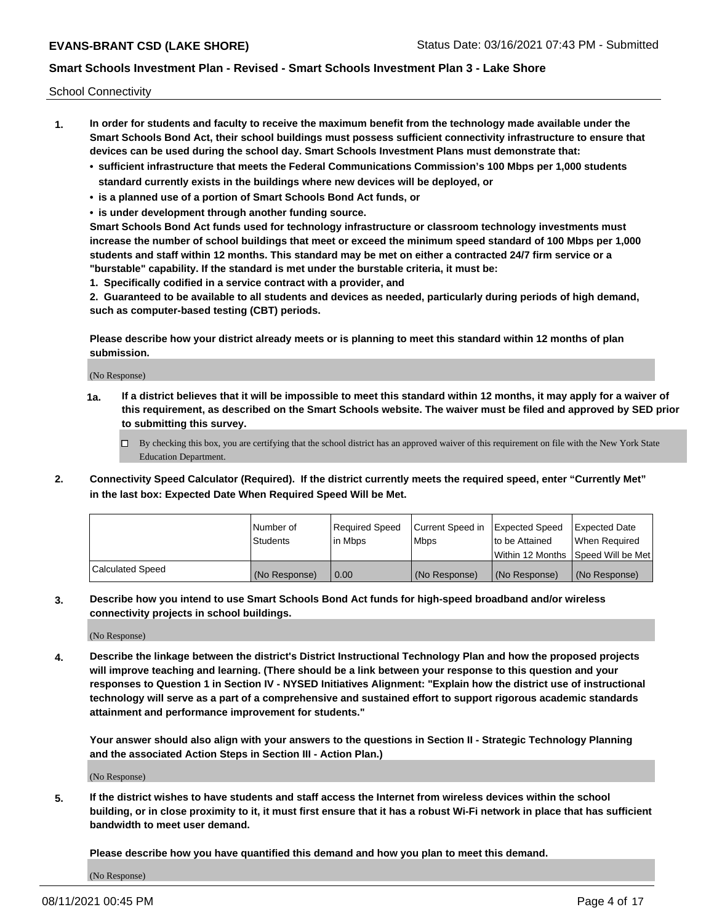School Connectivity

- **1. In order for students and faculty to receive the maximum benefit from the technology made available under the Smart Schools Bond Act, their school buildings must possess sufficient connectivity infrastructure to ensure that devices can be used during the school day. Smart Schools Investment Plans must demonstrate that:**
	- **• sufficient infrastructure that meets the Federal Communications Commission's 100 Mbps per 1,000 students standard currently exists in the buildings where new devices will be deployed, or**
	- **• is a planned use of a portion of Smart Schools Bond Act funds, or**
	- **• is under development through another funding source.**

**Smart Schools Bond Act funds used for technology infrastructure or classroom technology investments must increase the number of school buildings that meet or exceed the minimum speed standard of 100 Mbps per 1,000 students and staff within 12 months. This standard may be met on either a contracted 24/7 firm service or a "burstable" capability. If the standard is met under the burstable criteria, it must be:**

**1. Specifically codified in a service contract with a provider, and**

**2. Guaranteed to be available to all students and devices as needed, particularly during periods of high demand, such as computer-based testing (CBT) periods.**

**Please describe how your district already meets or is planning to meet this standard within 12 months of plan submission.**

(No Response)

**1a. If a district believes that it will be impossible to meet this standard within 12 months, it may apply for a waiver of this requirement, as described on the Smart Schools website. The waiver must be filed and approved by SED prior to submitting this survey.**

 $\Box$  By checking this box, you are certifying that the school district has an approved waiver of this requirement on file with the New York State Education Department.

**2. Connectivity Speed Calculator (Required). If the district currently meets the required speed, enter "Currently Met" in the last box: Expected Date When Required Speed Will be Met.**

|                  | l Number of     | Required Speed | Current Speed in | Expected Speed  | Expected Date                           |
|------------------|-----------------|----------------|------------------|-----------------|-----------------------------------------|
|                  | <b>Students</b> | In Mbps        | l Mbps           | to be Attained  | When Required                           |
|                  |                 |                |                  |                 | l Within 12 Months ISpeed Will be Met l |
| Calculated Speed | (No Response)   | 0.00           | (No Response)    | l (No Response) | l (No Response)                         |

**3. Describe how you intend to use Smart Schools Bond Act funds for high-speed broadband and/or wireless connectivity projects in school buildings.**

(No Response)

**4. Describe the linkage between the district's District Instructional Technology Plan and how the proposed projects will improve teaching and learning. (There should be a link between your response to this question and your responses to Question 1 in Section IV - NYSED Initiatives Alignment: "Explain how the district use of instructional technology will serve as a part of a comprehensive and sustained effort to support rigorous academic standards attainment and performance improvement for students."** 

**Your answer should also align with your answers to the questions in Section II - Strategic Technology Planning and the associated Action Steps in Section III - Action Plan.)**

(No Response)

**5. If the district wishes to have students and staff access the Internet from wireless devices within the school building, or in close proximity to it, it must first ensure that it has a robust Wi-Fi network in place that has sufficient bandwidth to meet user demand.**

**Please describe how you have quantified this demand and how you plan to meet this demand.**

(No Response)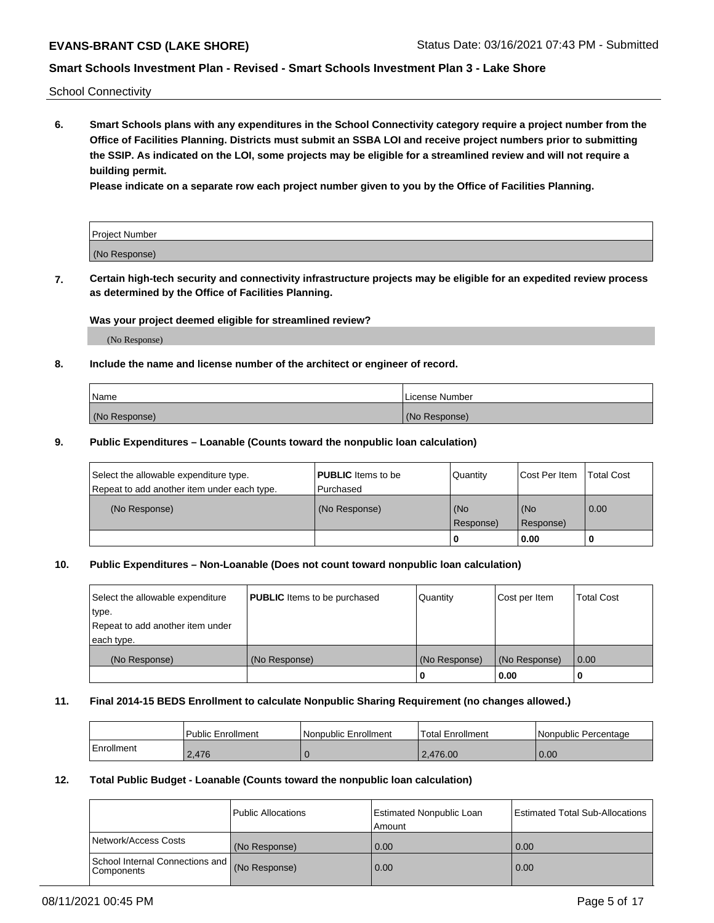School Connectivity

**6. Smart Schools plans with any expenditures in the School Connectivity category require a project number from the Office of Facilities Planning. Districts must submit an SSBA LOI and receive project numbers prior to submitting the SSIP. As indicated on the LOI, some projects may be eligible for a streamlined review and will not require a building permit.**

**Please indicate on a separate row each project number given to you by the Office of Facilities Planning.**

| Project Number |  |
|----------------|--|
| (No Response)  |  |

**7. Certain high-tech security and connectivity infrastructure projects may be eligible for an expedited review process as determined by the Office of Facilities Planning.**

#### **Was your project deemed eligible for streamlined review?**

(No Response)

## **8. Include the name and license number of the architect or engineer of record.**

| Name          | License Number |
|---------------|----------------|
| (No Response) | (No Response)  |

### **9. Public Expenditures – Loanable (Counts toward the nonpublic loan calculation)**

| Select the allowable expenditure type.<br>Repeat to add another item under each type. | <b>PUBLIC</b> Items to be<br>l Purchased | Quantity         | l Cost Per Item  | <b>Total Cost</b> |
|---------------------------------------------------------------------------------------|------------------------------------------|------------------|------------------|-------------------|
| (No Response)                                                                         | (No Response)                            | (No<br>Response) | (No<br>Response) | 0.00              |
|                                                                                       |                                          | 0                | 0.00             |                   |

## **10. Public Expenditures – Non-Loanable (Does not count toward nonpublic loan calculation)**

| Select the allowable expenditure<br>type.<br>Repeat to add another item under<br>each type. | <b>PUBLIC</b> Items to be purchased | Quantity      | Cost per Item | <b>Total Cost</b> |
|---------------------------------------------------------------------------------------------|-------------------------------------|---------------|---------------|-------------------|
| (No Response)                                                                               | (No Response)                       | (No Response) | (No Response) | 0.00              |
|                                                                                             |                                     |               | 0.00          |                   |

#### **11. Final 2014-15 BEDS Enrollment to calculate Nonpublic Sharing Requirement (no changes allowed.)**

|            | Public Enrollment | l Nonpublic Enrollment | <b>Total Enrollment</b> | Nonpublic Percentage |
|------------|-------------------|------------------------|-------------------------|----------------------|
| Enrollment | 2.476             |                        | 2.476.00                | 0.00                 |

## **12. Total Public Budget - Loanable (Counts toward the nonpublic loan calculation)**

|                                               | Public Allocations | <b>Estimated Nonpublic Loan</b><br>Amount | Estimated Total Sub-Allocations |
|-----------------------------------------------|--------------------|-------------------------------------------|---------------------------------|
| Network/Access Costs                          | (No Response)      | 0.00                                      | 0.00                            |
| School Internal Connections and<br>Components | (No Response)      | 0.00                                      | 0.00                            |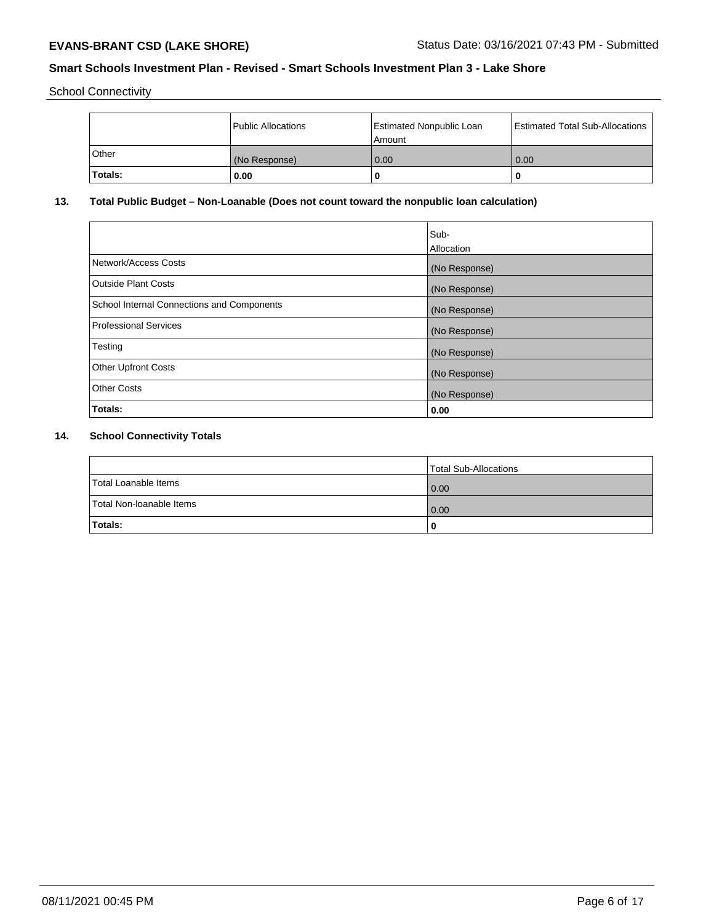School Connectivity

|         | Public Allocations | Estimated Nonpublic Loan<br>l Amount i | Estimated Total Sub-Allocations |
|---------|--------------------|----------------------------------------|---------------------------------|
| l Other | (No Response)      | 0.00                                   | 0.00                            |
| Totals: | 0.00               | 0                                      | 0                               |

# **13. Total Public Budget – Non-Loanable (Does not count toward the nonpublic loan calculation)**

| Sub-<br>Allocation |
|--------------------|
| (No Response)      |
| (No Response)      |
| (No Response)      |
| (No Response)      |
| (No Response)      |
| (No Response)      |
| (No Response)      |
| 0.00               |
|                    |

# **14. School Connectivity Totals**

|                          | Total Sub-Allocations |
|--------------------------|-----------------------|
| Total Loanable Items     | 0.00                  |
| Total Non-Ioanable Items | 0.00                  |
| Totals:                  | 0                     |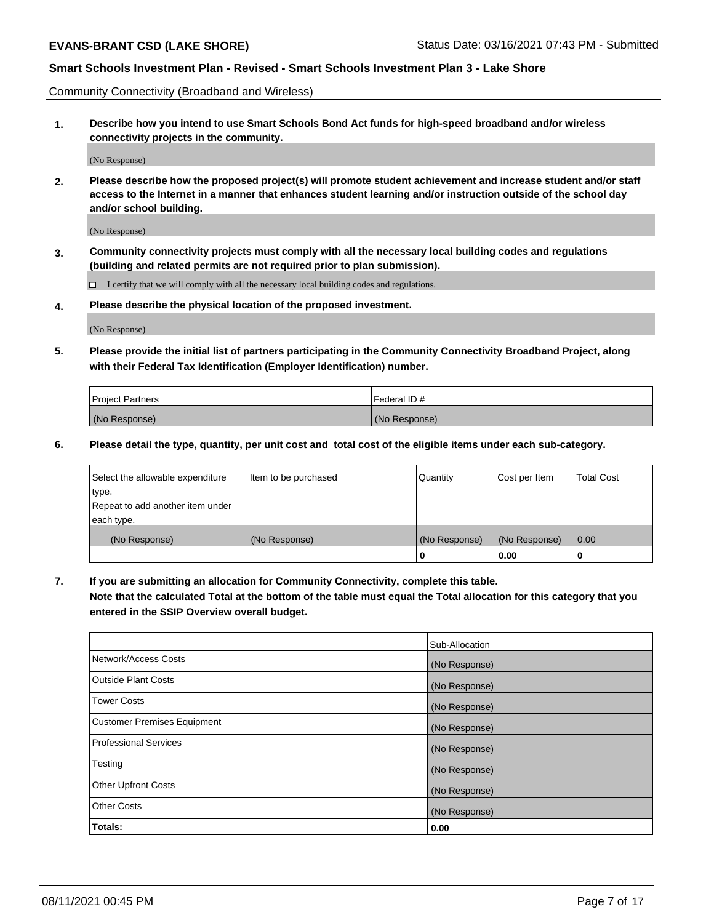Community Connectivity (Broadband and Wireless)

**1. Describe how you intend to use Smart Schools Bond Act funds for high-speed broadband and/or wireless connectivity projects in the community.**

(No Response)

**2. Please describe how the proposed project(s) will promote student achievement and increase student and/or staff access to the Internet in a manner that enhances student learning and/or instruction outside of the school day and/or school building.**

(No Response)

**3. Community connectivity projects must comply with all the necessary local building codes and regulations (building and related permits are not required prior to plan submission).**

 $\Box$  I certify that we will comply with all the necessary local building codes and regulations.

**4. Please describe the physical location of the proposed investment.**

(No Response)

**5. Please provide the initial list of partners participating in the Community Connectivity Broadband Project, along with their Federal Tax Identification (Employer Identification) number.**

| <b>Project Partners</b> | l Federal ID # |
|-------------------------|----------------|
| (No Response)           | (No Response)  |

**6. Please detail the type, quantity, per unit cost and total cost of the eligible items under each sub-category.**

| Select the allowable expenditure | Item to be purchased | Quantity      | Cost per Item | <b>Total Cost</b> |
|----------------------------------|----------------------|---------------|---------------|-------------------|
| type.                            |                      |               |               |                   |
| Repeat to add another item under |                      |               |               |                   |
| each type.                       |                      |               |               |                   |
| (No Response)                    | (No Response)        | (No Response) | (No Response) | 0.00              |
|                                  |                      | U             | 0.00          | -0                |

**7. If you are submitting an allocation for Community Connectivity, complete this table.**

**Note that the calculated Total at the bottom of the table must equal the Total allocation for this category that you entered in the SSIP Overview overall budget.**

|                                    | Sub-Allocation |
|------------------------------------|----------------|
| Network/Access Costs               | (No Response)  |
| Outside Plant Costs                | (No Response)  |
| <b>Tower Costs</b>                 | (No Response)  |
| <b>Customer Premises Equipment</b> | (No Response)  |
| <b>Professional Services</b>       | (No Response)  |
| Testing                            | (No Response)  |
| <b>Other Upfront Costs</b>         | (No Response)  |
| <b>Other Costs</b>                 | (No Response)  |
| Totals:                            | 0.00           |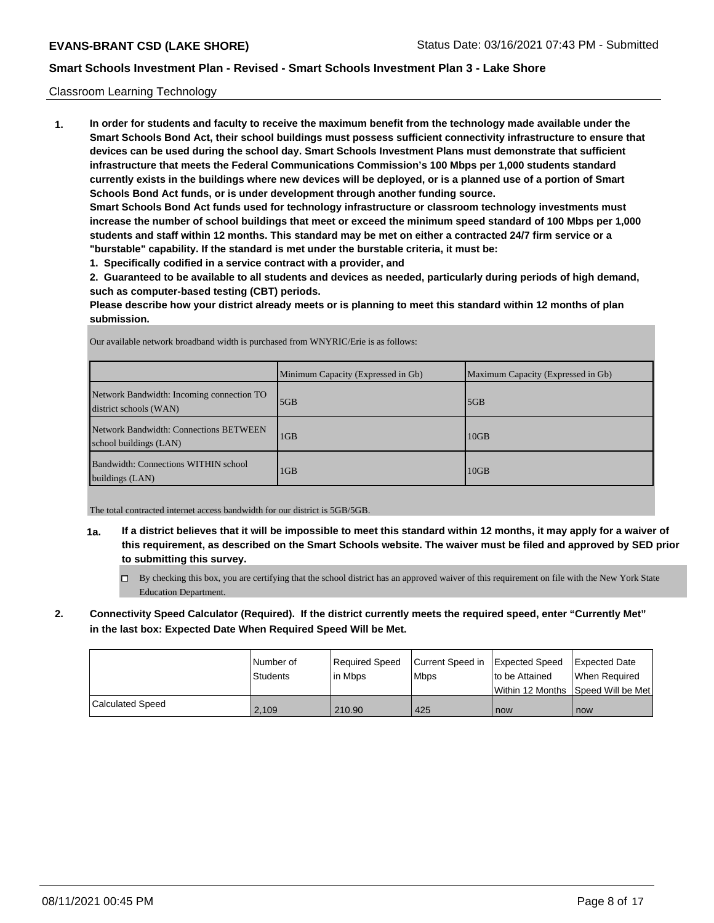## Classroom Learning Technology

**1. In order for students and faculty to receive the maximum benefit from the technology made available under the Smart Schools Bond Act, their school buildings must possess sufficient connectivity infrastructure to ensure that devices can be used during the school day. Smart Schools Investment Plans must demonstrate that sufficient infrastructure that meets the Federal Communications Commission's 100 Mbps per 1,000 students standard currently exists in the buildings where new devices will be deployed, or is a planned use of a portion of Smart Schools Bond Act funds, or is under development through another funding source. Smart Schools Bond Act funds used for technology infrastructure or classroom technology investments must**

**increase the number of school buildings that meet or exceed the minimum speed standard of 100 Mbps per 1,000 students and staff within 12 months. This standard may be met on either a contracted 24/7 firm service or a "burstable" capability. If the standard is met under the burstable criteria, it must be:**

**1. Specifically codified in a service contract with a provider, and**

**2. Guaranteed to be available to all students and devices as needed, particularly during periods of high demand, such as computer-based testing (CBT) periods.**

**Please describe how your district already meets or is planning to meet this standard within 12 months of plan submission.**

|                                                                     | Minimum Capacity (Expressed in Gb) | Maximum Capacity (Expressed in Gb) |
|---------------------------------------------------------------------|------------------------------------|------------------------------------|
| Network Bandwidth: Incoming connection TO<br>district schools (WAN) | 5GB                                | 5GB                                |
| Network Bandwidth: Connections BETWEEN<br>school buildings (LAN)    | 1 <sub>GB</sub>                    | 10GB                               |
| Bandwidth: Connections WITHIN school<br>buildings (LAN)             | 1GB                                | 10GB                               |

Our available network broadband width is purchased from WNYRIC/Erie is as follows:

The total contracted internet access bandwidth for our district is 5GB/5GB.

- **1a. If a district believes that it will be impossible to meet this standard within 12 months, it may apply for a waiver of this requirement, as described on the Smart Schools website. The waiver must be filed and approved by SED prior to submitting this survey.**
	- By checking this box, you are certifying that the school district has an approved waiver of this requirement on file with the New York State Education Department.
- **2. Connectivity Speed Calculator (Required). If the district currently meets the required speed, enter "Currently Met" in the last box: Expected Date When Required Speed Will be Met.**

|                  | l Number of<br>Students | Required Speed<br>l in Mbps | Current Speed in Expected Speed<br><b>Mbps</b> | to be Attained | <b>Expected Date</b><br>When Reauired |
|------------------|-------------------------|-----------------------------|------------------------------------------------|----------------|---------------------------------------|
|                  |                         |                             |                                                |                | Within 12 Months  Speed Will be Met   |
| Calculated Speed | 2.109                   | 210.90                      | 425                                            | now            | now                                   |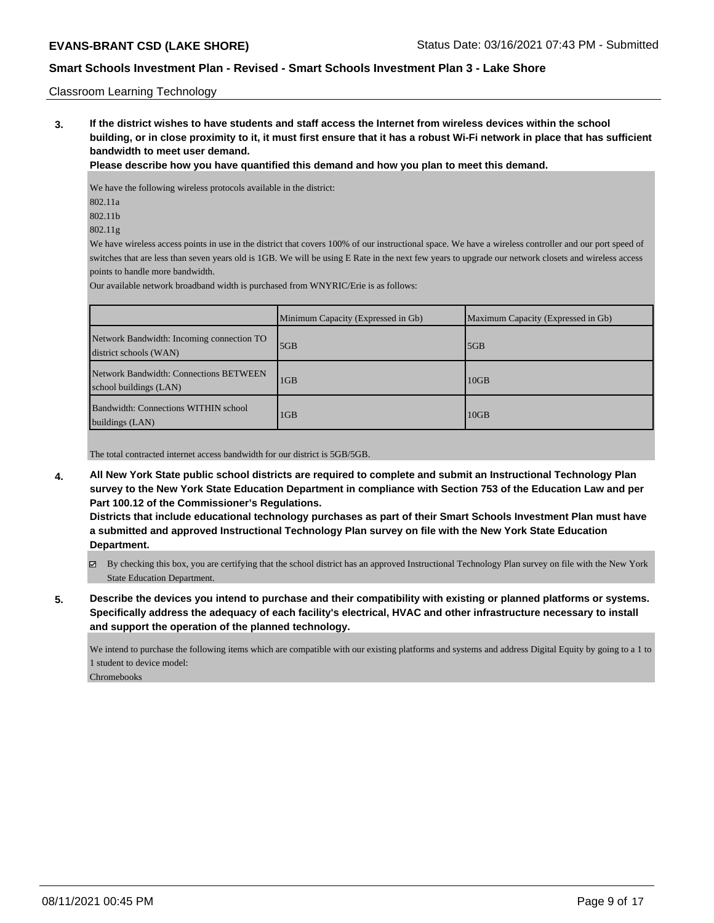#### Classroom Learning Technology

**3. If the district wishes to have students and staff access the Internet from wireless devices within the school building, or in close proximity to it, it must first ensure that it has a robust Wi-Fi network in place that has sufficient bandwidth to meet user demand.**

**Please describe how you have quantified this demand and how you plan to meet this demand.**

We have the following wireless protocols available in the district:

- 802.11a
- 802.11b

802.11g

We have wireless access points in use in the district that covers 100% of our instructional space. We have a wireless controller and our port speed of switches that are less than seven years old is 1GB. We will be using E Rate in the next few years to upgrade our network closets and wireless access points to handle more bandwidth.

Our available network broadband width is purchased from WNYRIC/Erie is as follows:

|                                                                     | Minimum Capacity (Expressed in Gb) | Maximum Capacity (Expressed in Gb) |
|---------------------------------------------------------------------|------------------------------------|------------------------------------|
| Network Bandwidth: Incoming connection TO<br>district schools (WAN) | 5GB                                | 5GB                                |
| Network Bandwidth: Connections BETWEEN<br>school buildings (LAN)    | 1 <sub>GB</sub>                    | 10 <sub>GB</sub>                   |
| Bandwidth: Connections WITHIN school<br>buildings (LAN)             | 1 <sub>GB</sub>                    | 10GB                               |

The total contracted internet access bandwidth for our district is 5GB/5GB.

**4. All New York State public school districts are required to complete and submit an Instructional Technology Plan survey to the New York State Education Department in compliance with Section 753 of the Education Law and per Part 100.12 of the Commissioner's Regulations.**

**Districts that include educational technology purchases as part of their Smart Schools Investment Plan must have a submitted and approved Instructional Technology Plan survey on file with the New York State Education Department.**

- By checking this box, you are certifying that the school district has an approved Instructional Technology Plan survey on file with the New York State Education Department.
- **5. Describe the devices you intend to purchase and their compatibility with existing or planned platforms or systems. Specifically address the adequacy of each facility's electrical, HVAC and other infrastructure necessary to install and support the operation of the planned technology.**

We intend to purchase the following items which are compatible with our existing platforms and systems and address Digital Equity by going to a 1 to 1 student to device model:

Chromebooks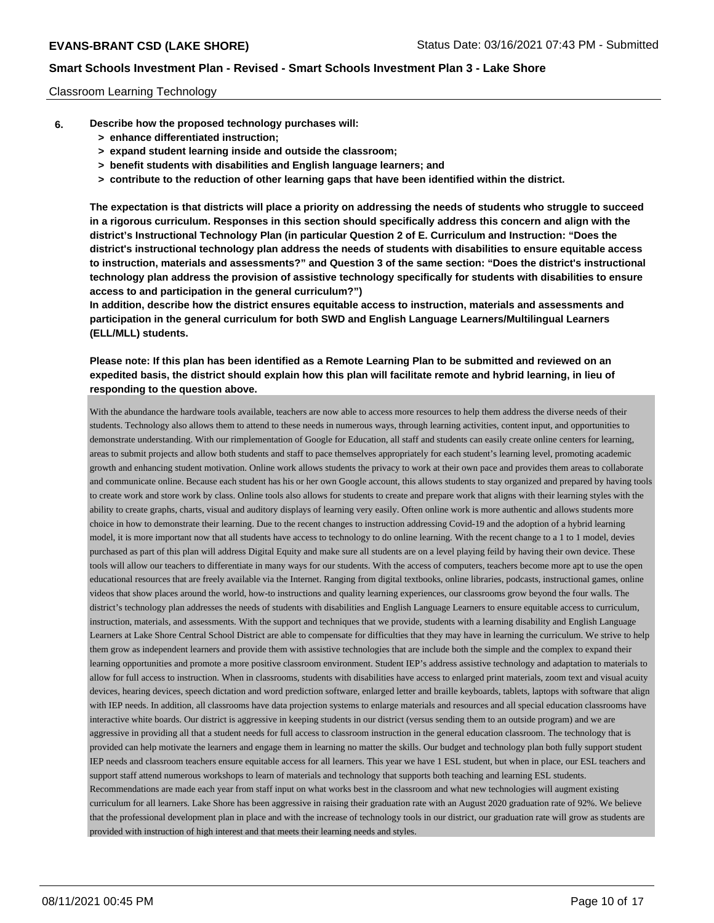#### Classroom Learning Technology

- **6. Describe how the proposed technology purchases will:**
	- **> enhance differentiated instruction;**
	- **> expand student learning inside and outside the classroom;**
	- **> benefit students with disabilities and English language learners; and**
	- **> contribute to the reduction of other learning gaps that have been identified within the district.**

**The expectation is that districts will place a priority on addressing the needs of students who struggle to succeed in a rigorous curriculum. Responses in this section should specifically address this concern and align with the district's Instructional Technology Plan (in particular Question 2 of E. Curriculum and Instruction: "Does the district's instructional technology plan address the needs of students with disabilities to ensure equitable access to instruction, materials and assessments?" and Question 3 of the same section: "Does the district's instructional technology plan address the provision of assistive technology specifically for students with disabilities to ensure access to and participation in the general curriculum?")**

**In addition, describe how the district ensures equitable access to instruction, materials and assessments and participation in the general curriculum for both SWD and English Language Learners/Multilingual Learners (ELL/MLL) students.**

# **Please note: If this plan has been identified as a Remote Learning Plan to be submitted and reviewed on an expedited basis, the district should explain how this plan will facilitate remote and hybrid learning, in lieu of responding to the question above.**

With the abundance the hardware tools available, teachers are now able to access more resources to help them address the diverse needs of their students. Technology also allows them to attend to these needs in numerous ways, through learning activities, content input, and opportunities to demonstrate understanding. With our rimplementation of Google for Education, all staff and students can easily create online centers for learning, areas to submit projects and allow both students and staff to pace themselves appropriately for each student's learning level, promoting academic growth and enhancing student motivation. Online work allows students the privacy to work at their own pace and provides them areas to collaborate and communicate online. Because each student has his or her own Google account, this allows students to stay organized and prepared by having tools to create work and store work by class. Online tools also allows for students to create and prepare work that aligns with their learning styles with the ability to create graphs, charts, visual and auditory displays of learning very easily. Often online work is more authentic and allows students more choice in how to demonstrate their learning. Due to the recent changes to instruction addressing Covid-19 and the adoption of a hybrid learning model, it is more important now that all students have access to technology to do online learning. With the recent change to a 1 to 1 model, devies purchased as part of this plan will address Digital Equity and make sure all students are on a level playing feild by having their own device. These tools will allow our teachers to differentiate in many ways for our students. With the access of computers, teachers become more apt to use the open educational resources that are freely available via the Internet. Ranging from digital textbooks, online libraries, podcasts, instructional games, online videos that show places around the world, how-to instructions and quality learning experiences, our classrooms grow beyond the four walls. The district's technology plan addresses the needs of students with disabilities and English Language Learners to ensure equitable access to curriculum, instruction, materials, and assessments. With the support and techniques that we provide, students with a learning disability and English Language Learners at Lake Shore Central School District are able to compensate for difficulties that they may have in learning the curriculum. We strive to help them grow as independent learners and provide them with assistive technologies that are include both the simple and the complex to expand their learning opportunities and promote a more positive classroom environment. Student IEP's address assistive technology and adaptation to materials to allow for full access to instruction. When in classrooms, students with disabilities have access to enlarged print materials, zoom text and visual acuity devices, hearing devices, speech dictation and word prediction software, enlarged letter and braille keyboards, tablets, laptops with software that align with IEP needs. In addition, all classrooms have data projection systems to enlarge materials and resources and all special education classrooms have interactive white boards. Our district is aggressive in keeping students in our district (versus sending them to an outside program) and we are aggressive in providing all that a student needs for full access to classroom instruction in the general education classroom. The technology that is provided can help motivate the learners and engage them in learning no matter the skills. Our budget and technology plan both fully support student IEP needs and classroom teachers ensure equitable access for all learners. This year we have 1 ESL student, but when in place, our ESL teachers and support staff attend numerous workshops to learn of materials and technology that supports both teaching and learning ESL students. Recommendations are made each year from staff input on what works best in the classroom and what new technologies will augment existing curriculum for all learners. Lake Shore has been aggressive in raising their graduation rate with an August 2020 graduation rate of 92%. We believe that the professional development plan in place and with the increase of technology tools in our district, our graduation rate will grow as students are provided with instruction of high interest and that meets their learning needs and styles.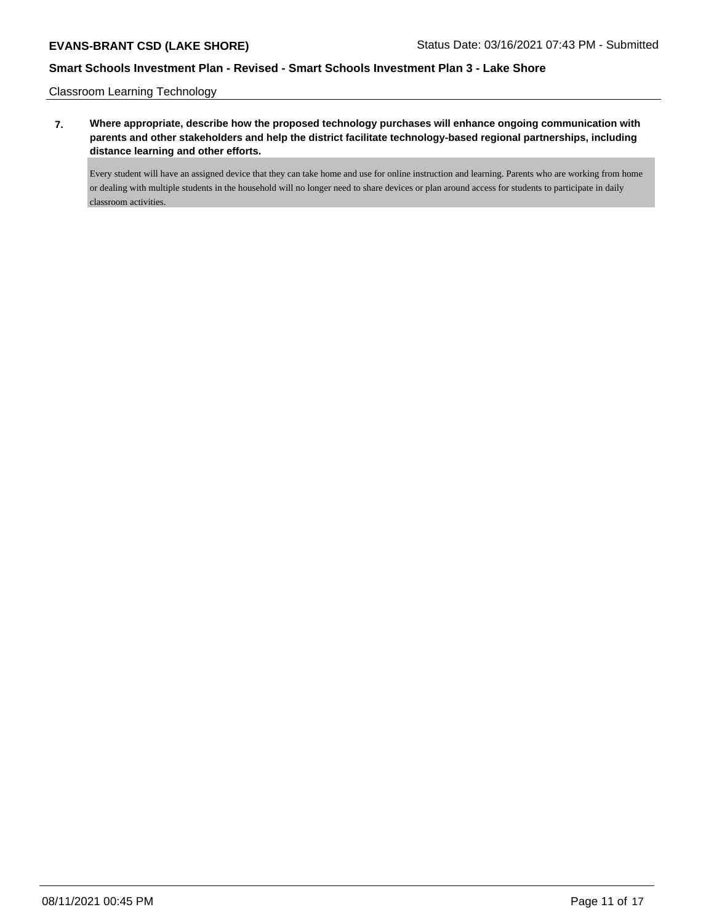Classroom Learning Technology

**7. Where appropriate, describe how the proposed technology purchases will enhance ongoing communication with parents and other stakeholders and help the district facilitate technology-based regional partnerships, including distance learning and other efforts.**

Every student will have an assigned device that they can take home and use for online instruction and learning. Parents who are working from home or dealing with multiple students in the household will no longer need to share devices or plan around access for students to participate in daily classroom activities.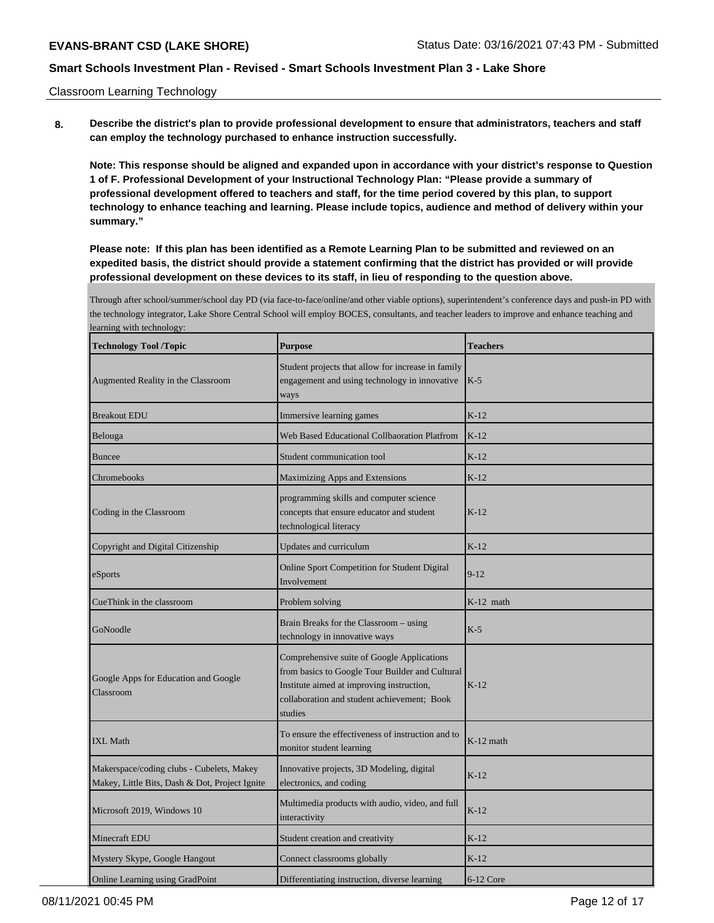Classroom Learning Technology

**8. Describe the district's plan to provide professional development to ensure that administrators, teachers and staff can employ the technology purchased to enhance instruction successfully.**

**Note: This response should be aligned and expanded upon in accordance with your district's response to Question 1 of F. Professional Development of your Instructional Technology Plan: "Please provide a summary of professional development offered to teachers and staff, for the time period covered by this plan, to support technology to enhance teaching and learning. Please include topics, audience and method of delivery within your summary."**

**Please note: If this plan has been identified as a Remote Learning Plan to be submitted and reviewed on an expedited basis, the district should provide a statement confirming that the district has provided or will provide professional development on these devices to its staff, in lieu of responding to the question above.**

Through after school/summer/school day PD (via face-to-face/online/and other viable options), superintendent's conference days and push-in PD with the technology integrator, Lake Shore Central School will employ BOCES, consultants, and teacher leaders to improve and enhance teaching and learning with technology:

| <b>Technology Tool /Topic</b>                                                               | <b>Purpose</b>                                                                                                                                                                                       | <b>Teachers</b> |
|---------------------------------------------------------------------------------------------|------------------------------------------------------------------------------------------------------------------------------------------------------------------------------------------------------|-----------------|
| Augmented Reality in the Classroom                                                          | Student projects that allow for increase in family<br>engagement and using technology in innovative<br>ways                                                                                          | $K-5$           |
| <b>Breakout EDU</b>                                                                         | Immersive learning games                                                                                                                                                                             | $K-12$          |
| Belouga                                                                                     | <b>Web Based Educational Collbaoration Platfrom</b>                                                                                                                                                  | $K-12$          |
| <b>Buncee</b>                                                                               | Student communication tool                                                                                                                                                                           | $K-12$          |
| Chromebooks                                                                                 | Maximizing Apps and Extensions                                                                                                                                                                       | $K-12$          |
| Coding in the Classroom                                                                     | programming skills and computer science<br>concepts that ensure educator and student<br>technological literacy                                                                                       | $K-12$          |
| Copyright and Digital Citizenship                                                           | Updates and curriculum                                                                                                                                                                               | $K-12$          |
| eSports                                                                                     | Online Sport Competition for Student Digital<br>Involvement                                                                                                                                          | $9 - 12$        |
| CueThink in the classroom                                                                   | Problem solving                                                                                                                                                                                      | $K-12$ math     |
| GoNoodle                                                                                    | Brain Breaks for the Classroom – using<br>technology in innovative ways                                                                                                                              | $K-5$           |
| Google Apps for Education and Google<br>Classroom                                           | Comprehensive suite of Google Applications<br>from basics to Google Tour Builder and Cultural<br>Institute aimed at improving instruction,<br>collaboration and student achievement; Book<br>studies | $K-12$          |
| <b>IXL Math</b>                                                                             | To ensure the effectiveness of instruction and to<br>monitor student learning                                                                                                                        | $K-12$ math     |
| Makerspace/coding clubs - Cubelets, Makey<br>Makey, Little Bits, Dash & Dot, Project Ignite | Innovative projects, 3D Modeling, digital<br>electronics, and coding                                                                                                                                 | $K-12$          |
| Microsoft 2019, Windows 10                                                                  | Multimedia products with audio, video, and full<br>interactivity                                                                                                                                     | $K-12$          |
| Minecraft EDU                                                                               | Student creation and creativity                                                                                                                                                                      | $K-12$          |
| Mystery Skype, Google Hangout                                                               | Connect classrooms globally                                                                                                                                                                          | $K-12$          |
| Online Learning using GradPoint                                                             | Differentiating instruction, diverse learning                                                                                                                                                        | $6-12$ Core     |

08/11/2021 00:45 PM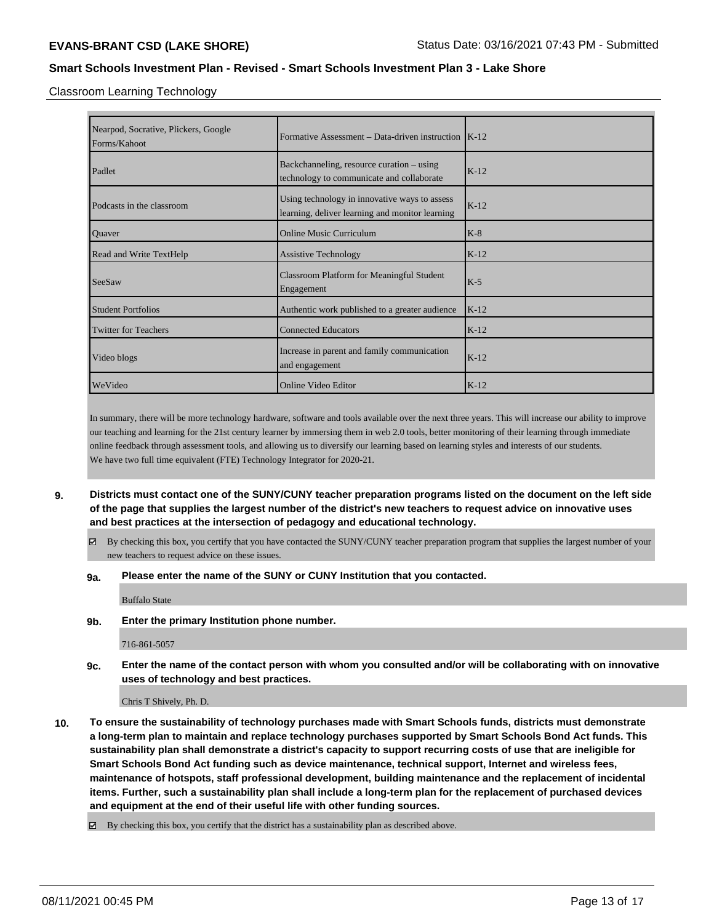Classroom Learning Technology

| Nearpod, Socrative, Plickers, Google<br>Forms/Kahoot | Formative Assessment – Data-driven instruction $K-12$                                            |        |
|------------------------------------------------------|--------------------------------------------------------------------------------------------------|--------|
| Padlet                                               | Backchanneling, resource curation – using<br>technology to communicate and collaborate           | $K-12$ |
| Podcasts in the classroom                            | Using technology in innovative ways to assess<br>learning, deliver learning and monitor learning | $K-12$ |
| Quaver                                               | <b>Online Music Curriculum</b>                                                                   | $K-8$  |
| <b>Read and Write TextHelp</b>                       | <b>Assistive Technology</b>                                                                      | $K-12$ |
| SeeSaw                                               | <b>Classroom Platform for Meaningful Student</b><br>Engagement                                   | $K-5$  |
| <b>Student Portfolios</b>                            | Authentic work published to a greater audience                                                   | $K-12$ |
| Twitter for Teachers                                 | <b>Connected Educators</b>                                                                       | $K-12$ |
| Video blogs                                          | Increase in parent and family communication<br>and engagement                                    | $K-12$ |
| WeVideo                                              | Online Video Editor                                                                              | $K-12$ |

In summary, there will be more technology hardware, software and tools available over the next three years. This will increase our ability to improve our teaching and learning for the 21st century learner by immersing them in web 2.0 tools, better monitoring of their learning through immediate online feedback through assessment tools, and allowing us to diversify our learning based on learning styles and interests of our students. We have two full time equivalent (FTE) Technology Integrator for 2020-21.

- **9. Districts must contact one of the SUNY/CUNY teacher preparation programs listed on the document on the left side of the page that supplies the largest number of the district's new teachers to request advice on innovative uses and best practices at the intersection of pedagogy and educational technology.**
	- $\boxtimes$  By checking this box, you certify that you have contacted the SUNY/CUNY teacher preparation program that supplies the largest number of your new teachers to request advice on these issues.

### **9a. Please enter the name of the SUNY or CUNY Institution that you contacted.**

Buffalo State

**9b. Enter the primary Institution phone number.**

716-861-5057

**9c. Enter the name of the contact person with whom you consulted and/or will be collaborating with on innovative uses of technology and best practices.**

Chris T Shively, Ph. D.

**10. To ensure the sustainability of technology purchases made with Smart Schools funds, districts must demonstrate a long-term plan to maintain and replace technology purchases supported by Smart Schools Bond Act funds. This sustainability plan shall demonstrate a district's capacity to support recurring costs of use that are ineligible for Smart Schools Bond Act funding such as device maintenance, technical support, Internet and wireless fees, maintenance of hotspots, staff professional development, building maintenance and the replacement of incidental items. Further, such a sustainability plan shall include a long-term plan for the replacement of purchased devices and equipment at the end of their useful life with other funding sources.**

By checking this box, you certify that the district has a sustainability plan as described above.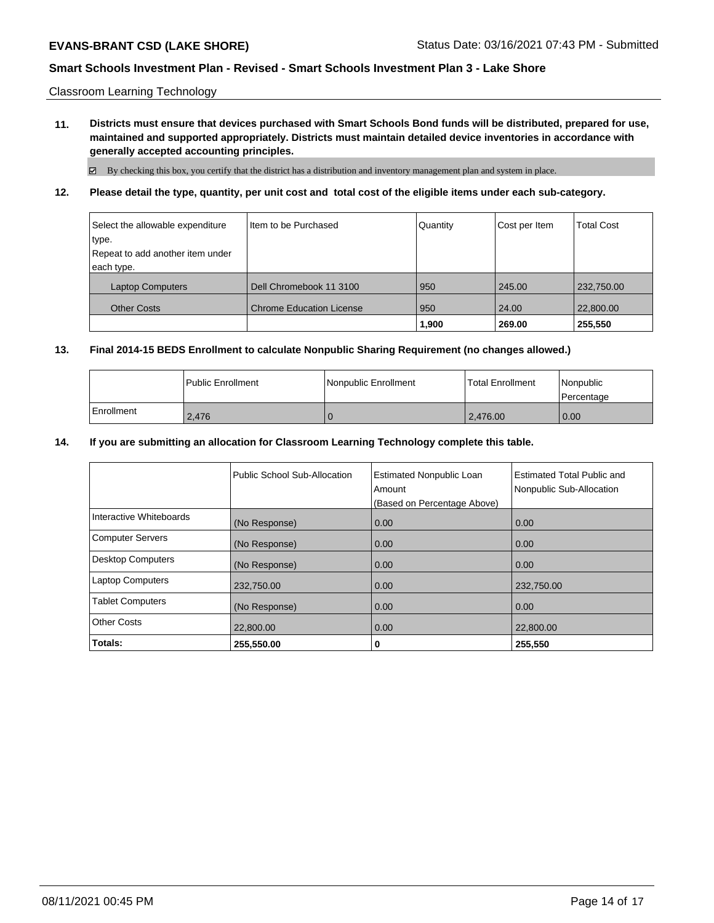Classroom Learning Technology

**11. Districts must ensure that devices purchased with Smart Schools Bond funds will be distributed, prepared for use, maintained and supported appropriately. Districts must maintain detailed device inventories in accordance with generally accepted accounting principles.**

 $\boxtimes$  By checking this box, you certify that the district has a distribution and inventory management plan and system in place.

# **12. Please detail the type, quantity, per unit cost and total cost of the eligible items under each sub-category.**

| Select the allowable expenditure | Iltem to be Purchased           | Quantity | Cost per Item | <b>Total Cost</b> |
|----------------------------------|---------------------------------|----------|---------------|-------------------|
| type.                            |                                 |          |               |                   |
| Repeat to add another item under |                                 |          |               |                   |
| each type.                       |                                 |          |               |                   |
| <b>Laptop Computers</b>          | Dell Chromebook 11 3100         | 950      | 245.00        | 232,750.00        |
| <b>Other Costs</b>               | <b>Chrome Education License</b> | 950      | 24.00         | 22,800.00         |
|                                  |                                 | 1,900    | 269.00        | 255,550           |

## **13. Final 2014-15 BEDS Enrollment to calculate Nonpublic Sharing Requirement (no changes allowed.)**

|            | <b>Public Enrollment</b> | Nonpublic Enrollment | l Total Enrollment | l Nonpublic<br>l Percentage |
|------------|--------------------------|----------------------|--------------------|-----------------------------|
| Enrollment | 2.476                    |                      | 2.476.00           | 0.00                        |

## **14. If you are submitting an allocation for Classroom Learning Technology complete this table.**

|                          | Public School Sub-Allocation | <b>Estimated Nonpublic Loan</b><br>Amount<br>(Based on Percentage Above) | <b>Estimated Total Public and</b><br>Nonpublic Sub-Allocation |
|--------------------------|------------------------------|--------------------------------------------------------------------------|---------------------------------------------------------------|
| Interactive Whiteboards  | (No Response)                | 0.00                                                                     | 0.00                                                          |
| <b>Computer Servers</b>  | (No Response)                | 0.00                                                                     | 0.00                                                          |
| <b>Desktop Computers</b> | (No Response)                | 0.00                                                                     | 0.00                                                          |
| <b>Laptop Computers</b>  | 232,750.00                   | 0.00                                                                     | 232,750.00                                                    |
| <b>Tablet Computers</b>  | (No Response)                | 0.00                                                                     | 0.00                                                          |
| <b>Other Costs</b>       | 22,800.00                    | 0.00                                                                     | 22,800.00                                                     |
| Totals:                  | 255,550.00                   | 0                                                                        | 255,550                                                       |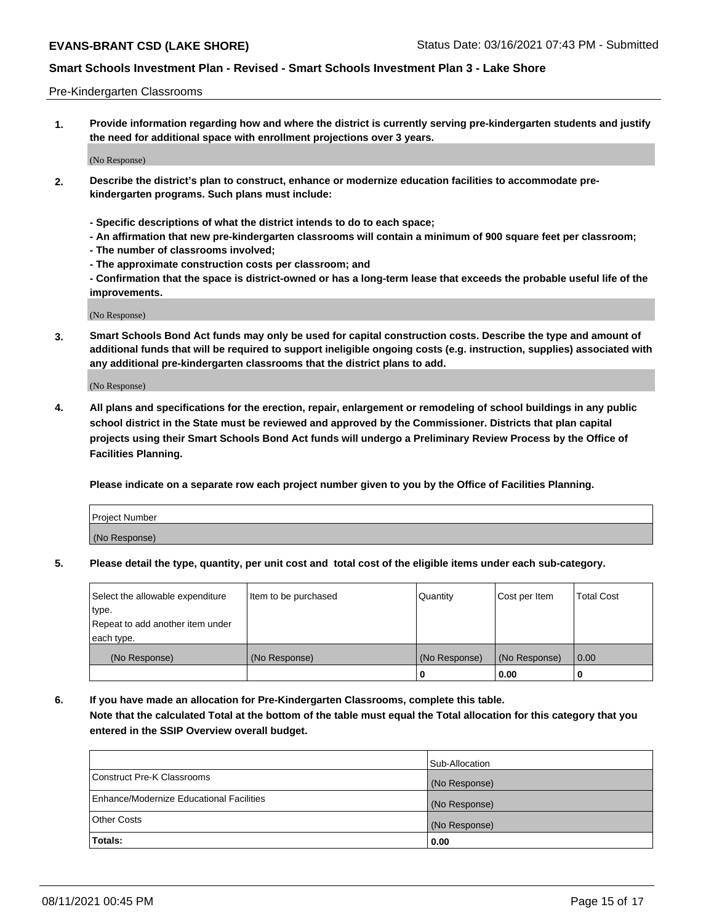#### Pre-Kindergarten Classrooms

**1. Provide information regarding how and where the district is currently serving pre-kindergarten students and justify the need for additional space with enrollment projections over 3 years.**

(No Response)

- **2. Describe the district's plan to construct, enhance or modernize education facilities to accommodate prekindergarten programs. Such plans must include:**
	- **Specific descriptions of what the district intends to do to each space;**
	- **An affirmation that new pre-kindergarten classrooms will contain a minimum of 900 square feet per classroom;**
	- **The number of classrooms involved;**
	- **The approximate construction costs per classroom; and**
	- **Confirmation that the space is district-owned or has a long-term lease that exceeds the probable useful life of the improvements.**

(No Response)

**3. Smart Schools Bond Act funds may only be used for capital construction costs. Describe the type and amount of additional funds that will be required to support ineligible ongoing costs (e.g. instruction, supplies) associated with any additional pre-kindergarten classrooms that the district plans to add.**

(No Response)

**4. All plans and specifications for the erection, repair, enlargement or remodeling of school buildings in any public school district in the State must be reviewed and approved by the Commissioner. Districts that plan capital projects using their Smart Schools Bond Act funds will undergo a Preliminary Review Process by the Office of Facilities Planning.**

**Please indicate on a separate row each project number given to you by the Office of Facilities Planning.**

| Project Number |  |
|----------------|--|
| (No Response)  |  |
|                |  |

**5. Please detail the type, quantity, per unit cost and total cost of the eligible items under each sub-category.**

| Select the allowable expenditure | Item to be purchased | Quantity      | Cost per Item | <b>Total Cost</b> |
|----------------------------------|----------------------|---------------|---------------|-------------------|
| type.                            |                      |               |               |                   |
| Repeat to add another item under |                      |               |               |                   |
| each type.                       |                      |               |               |                   |
| (No Response)                    | (No Response)        | (No Response) | (No Response) | 0.00              |
|                                  |                      | U             | 0.00          |                   |

**6. If you have made an allocation for Pre-Kindergarten Classrooms, complete this table. Note that the calculated Total at the bottom of the table must equal the Total allocation for this category that you entered in the SSIP Overview overall budget.**

|                                          | Sub-Allocation |
|------------------------------------------|----------------|
| Construct Pre-K Classrooms               | (No Response)  |
| Enhance/Modernize Educational Facilities | (No Response)  |
| <b>Other Costs</b>                       | (No Response)  |
| Totals:                                  | 0.00           |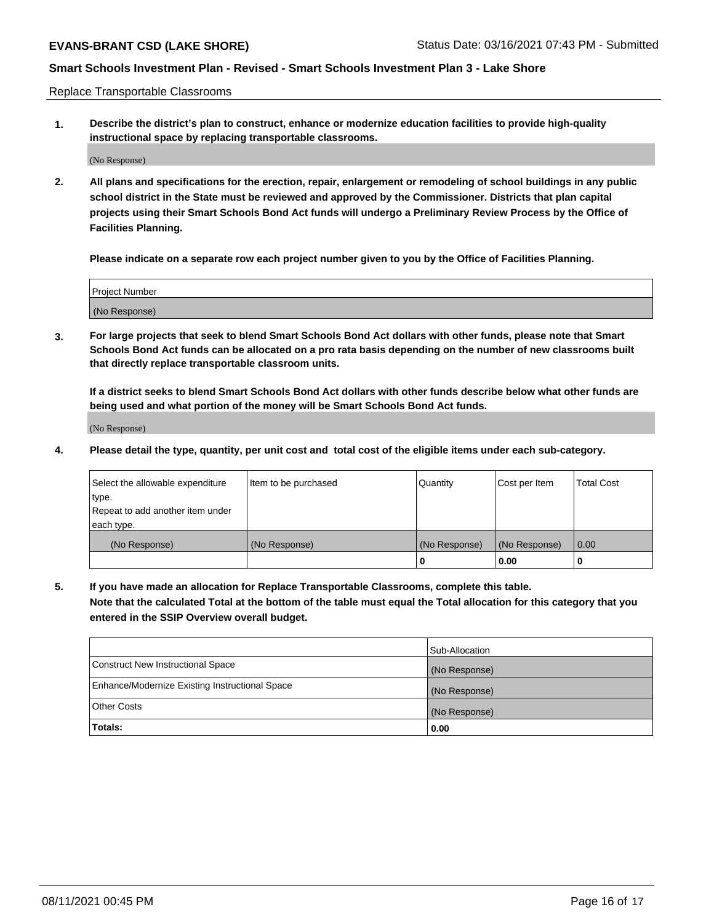Replace Transportable Classrooms

**1. Describe the district's plan to construct, enhance or modernize education facilities to provide high-quality instructional space by replacing transportable classrooms.**

(No Response)

**2. All plans and specifications for the erection, repair, enlargement or remodeling of school buildings in any public school district in the State must be reviewed and approved by the Commissioner. Districts that plan capital projects using their Smart Schools Bond Act funds will undergo a Preliminary Review Process by the Office of Facilities Planning.**

**Please indicate on a separate row each project number given to you by the Office of Facilities Planning.**

| Project Number |  |
|----------------|--|
|                |  |
| (No Response)  |  |

**3. For large projects that seek to blend Smart Schools Bond Act dollars with other funds, please note that Smart Schools Bond Act funds can be allocated on a pro rata basis depending on the number of new classrooms built that directly replace transportable classroom units.**

**If a district seeks to blend Smart Schools Bond Act dollars with other funds describe below what other funds are being used and what portion of the money will be Smart Schools Bond Act funds.**

(No Response)

**4. Please detail the type, quantity, per unit cost and total cost of the eligible items under each sub-category.**

| Select the allowable expenditure           | Item to be purchased | Quantity      | Cost per Item | <b>Total Cost</b> |
|--------------------------------------------|----------------------|---------------|---------------|-------------------|
| ∣type.<br>Repeat to add another item under |                      |               |               |                   |
| each type.                                 |                      |               |               |                   |
| (No Response)                              | (No Response)        | (No Response) | (No Response) | 0.00              |
|                                            |                      | 0             | 0.00          |                   |

**5. If you have made an allocation for Replace Transportable Classrooms, complete this table. Note that the calculated Total at the bottom of the table must equal the Total allocation for this category that you entered in the SSIP Overview overall budget.**

|                                                | Sub-Allocation |
|------------------------------------------------|----------------|
| Construct New Instructional Space              | (No Response)  |
| Enhance/Modernize Existing Instructional Space | (No Response)  |
| <b>Other Costs</b>                             | (No Response)  |
| Totals:                                        | 0.00           |